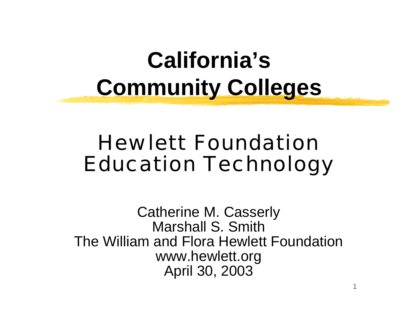## **California's Community Colleges**

### Hewlett FoundationEducation Technology

Catherine M. Casserly Marshall S. SmithThe William and Flora Hewlett Foundationwww.hewlett.org April 30, 2003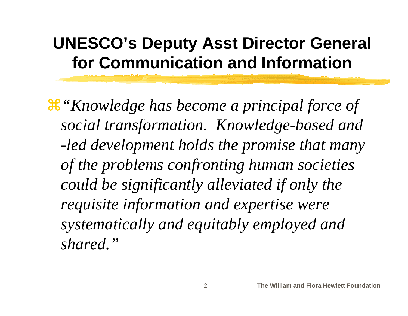### **UNESCO's Deputy Asst Director General for Communication and Information**

a*"Knowledge has become a principal force of social transformation. Knowledge-based and -led development holds the promise that many of the problems confronting human societies could be significantly alleviated if only the requisite information and expertise were systematically and equitably employed and shared."*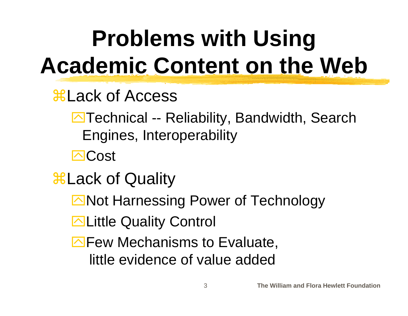# **Problems with Using Academic Content on the Web**

- $\frac{1}{2}$ **Lack of Access** 
	- **E**Technical -- Reliability, Bandwidth, Search Engines, Interoperability
	- **⊡Cost**
- **BLack of Quality** 
	- Not Harnessing Power of Technology
	- **ELittle Quality Control**
	- $\Box$  Few Mechanisms to Evaluate, little evidence of value added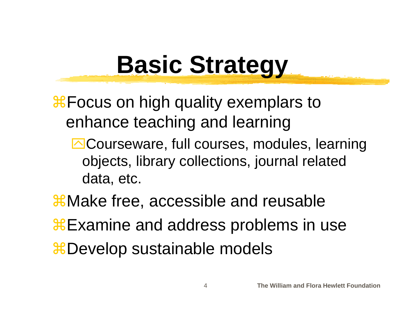# **Basic Strategy**

**X** Focus on high quality exemplars to enhance teaching and learning

**E**Courseware, full courses, modules, learning objects, library collections, journal related data, etc.

 $\frac{1}{26}$ **Make free, accessible and reusable** 

**Examine and address problems in use** 

**#Develop sustainable models**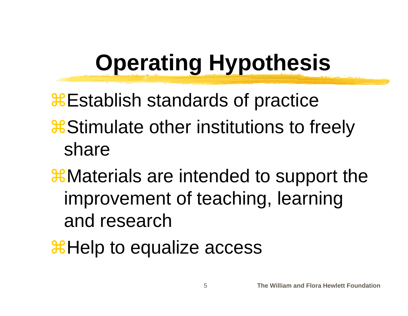## **Operating Hypothesis**

**EStablish standards of practice** 

- **a**Stimulate other institutions to freely share
- **X** Materials are intended to support the improvement of teaching, learning and research
- **XHelp to equalize access**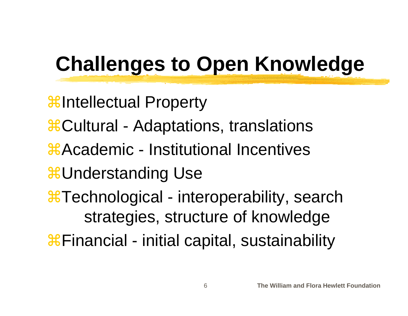## **Challenges to Open Knowledge**

 $\frac{1}{26}$ **Intellectual Property #Cultural - Adaptations, translations #Academic - Institutional Incentives**  $\frac{1}{20}$ **Understanding Use #Technological - interoperability, search** strategies, structure of knowledge **X**Financial - initial capital, sustainability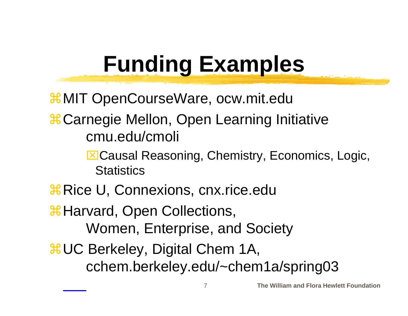## **Funding Examples**

 $\frac{12}{11}$ **MIT OpenCourseWare, ocw.mit.edu** 

 $\frac{a}{b}$ **Carnegie Mellon, Open Learning Initiative** cmu.edu/cmoli

> ⌧Causal Reasoning, Chemistry, Economics, Logic, **Statistics**

*X* Rice U, Connexions, cnx.rice.edu

*X* Harvard, Open Collections,

Women, Enterprise, and Society

 $\frac{a}{b}$ **UC Berkeley, Digital Chem 1A,** cchem.berkeley.edu/~chem1a/spring03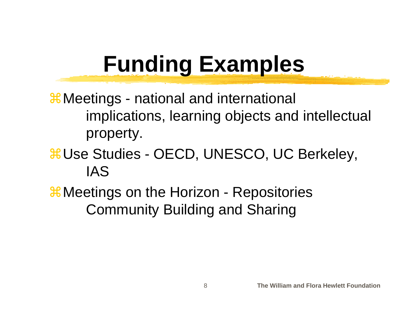## **Funding Examples**

 $\frac{1}{10}$  Meetings - national and international implications, learning objects and intellectual property.

#### $\frac{\text{R}}{\text{Use}}$  **Studies - OECD, UNESCO, UC Berkeley,** IAS

 $\frac{1}{10}$  Meetings on the Horizon - Repositories Community Building and Sharing